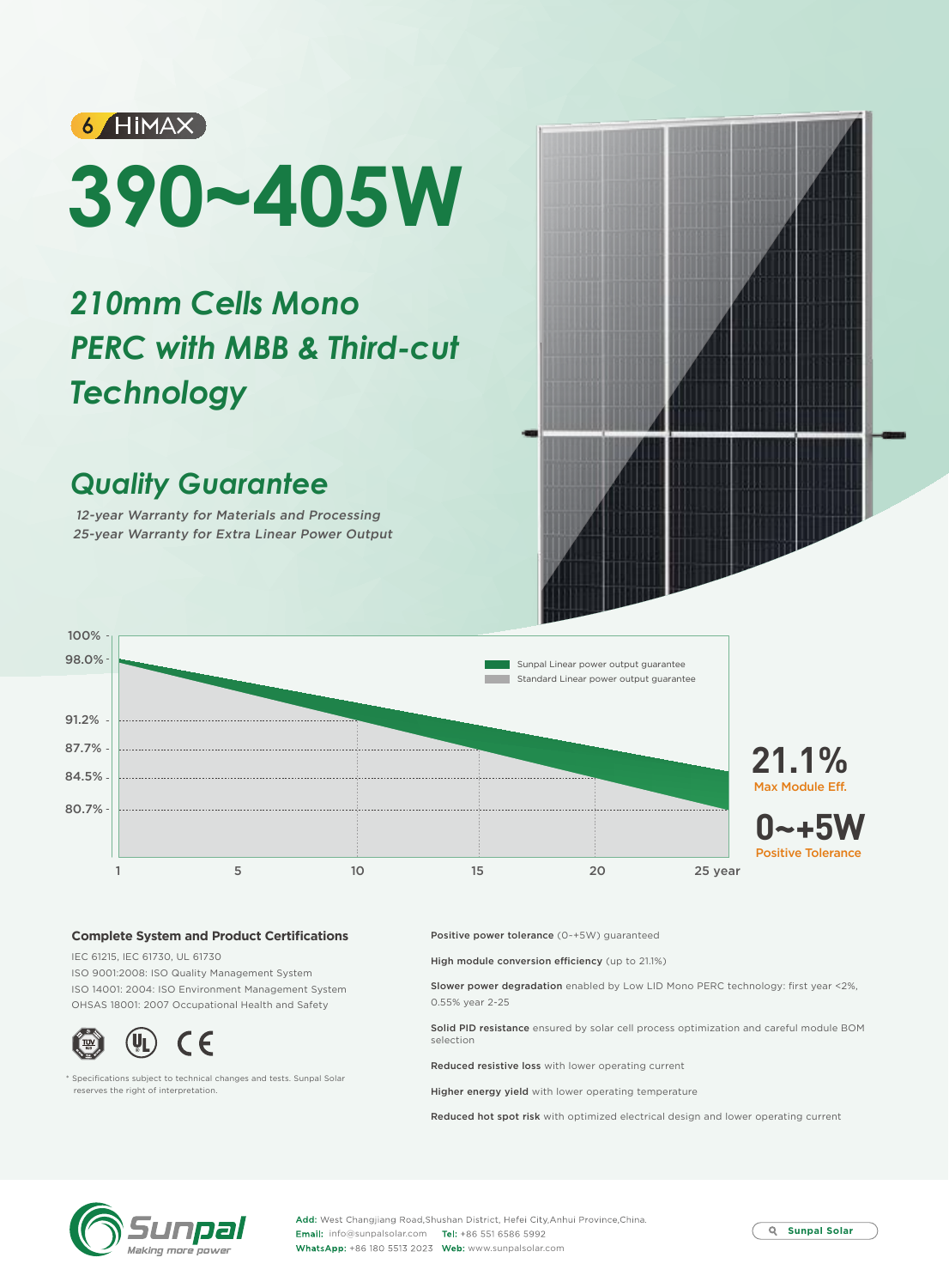

# **390~405W**

# *210mm Cells Mono PERC with MBB & Third-cut Technology*

## *Quality Guarantee*

12-year Warranty for Materials and Processing 25-year Warranty for Extra Linear Power Output



### **Complete System and Product Certifications**

IEC 61215, IEC 61730, UL 61730 ISO 9001:2008: ISO Quality Management System ISO 14001: 2004: ISO Environment Management System OHSAS 18001: 2007 Occupational Health and Safety



\* Specifications subject to technical changes and tests. Sunpal Solar reserves the right of interpretation.

Positive power tolerance (0~+5W) guaranteed

High module conversion efficiency (up to 21.1%)

Slower power degradation enabled by Low LID Mono PERC technology: first year <2%, 0.55% year 2-25

Solid PID resistance ensured by solar cell process optimization and careful module BOM selection

Reduced resistive loss with lower operating current

Higher energy yield with lower operating temperature

Reduced hot spot risk with optimized electrical design and lower operating current